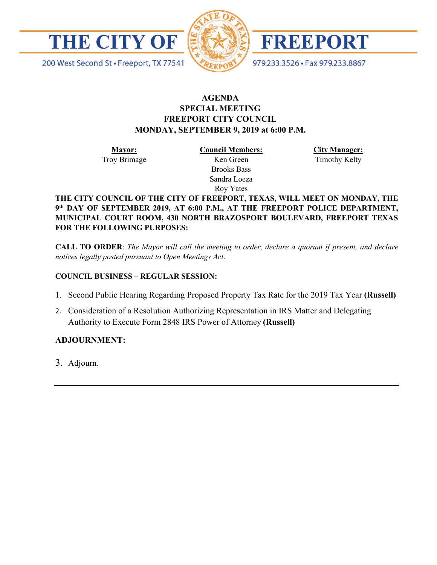



FREEPORT

200 West Second St · Freeport, TX 77541

979.233.3526 · Fax 979.233.8867

## **AGENDA SPECIAL MEETING FREEPORT CITY COUNCIL MONDAY, SEPTEMBER 9, 2019 at 6:00 P.M.**

**Mayor:** Troy Brimage **Council Members:** Ken Green

> Brooks Bass Sandra Loeza Roy Yates

**City Manager:**

Timothy Kelty

**THE CITY COUNCIL OF THE CITY OF FREEPORT, TEXAS, WILL MEET ON MONDAY, THE 9th DAY OF SEPTEMBER 2019, AT 6:00 P.M., AT THE FREEPORT POLICE DEPARTMENT, MUNICIPAL COURT ROOM, 430 NORTH BRAZOSPORT BOULEVARD, FREEPORT TEXAS FOR THE FOLLOWING PURPOSES:**

**CALL TO ORDER**: *The Mayor will call the meeting to order, declare a quorum if present, and declare notices legally posted pursuant to Open Meetings Act*.

## **COUNCIL BUSINESS – REGULAR SESSION:**

- 1. Second Public Hearing Regarding Proposed Property Tax Rate for the 2019 Tax Year **(Russell)**
- 2. Consideration of a Resolution Authorizing Representation in IRS Matter and Delegating Authority to Execute Form 2848 IRS Power of Attorney **(Russell)**

## **ADJOURNMENT:**

3. Adjourn.